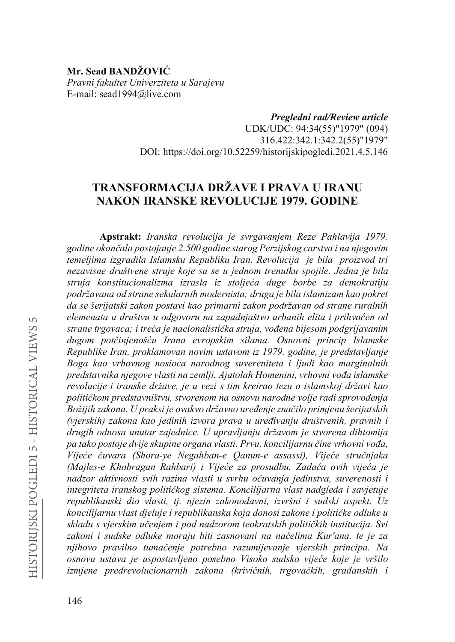## **Mr. Sead RANDŽOVIĆ** *Pravni fakultet Univerziteta u Sarajevu* E-mail: sead1994@live.com

*Pregledni rad/Review article* UDK/UDC: 94:34(55)"1979" (094) 316.422:342.1:342.2(55)"1979" DOI: https://doi.org/10.52259/historijskipogledi.2021.4.5.146

# **TRANSFORMACIJA DRŽAVE I PRAVA U IRANU NAKON IRANSKE REVOLUCIJE 1979. GODINE**

**Apstrakt:** *Iranska revolucija je svrgavanjem Reze Pahlavija 1979. JRGLQHRNRQþDODSRVWRMDQMH.500 godine starog Perzijskog carstva i na njegovim temeljima izgradila Islamsku Republiku Iran. Revolucija je bila proizvod tri nezavisne društvene struje koje su se u jednom trenutku spojile. Jedna je bila VWUXMD NRQVWLWXFLRQDOL]PD L]UDVOD L] VWROMHüD GXJH ERUEH ]D GHPRNratiju podržavana od strane sekularnih modernista; druga je bila islamizam kao pokret da se šerijatski zakon postavi kao primarni zakon podržavan od strane ruralnih*  elemenata u društvu u odgovoru na zapadnjaštvo urbanih elita i prihvaćen od strane trgovaca; i treća je nacionalistička struja, vođena bijesom podgrijavanim *GXJRP SRWþLQMHQRãüX ,UDQD HYURSVNLP VLODPD Osnovni princip Islamske Republike Iran, proklamovan novim ustavom iz 1979. godine, je predstavljanje Boga kao vrhovnog nosioca narodnog suvereniteta i ljudi kao marginalnih predstavnika njegove vlasti na zemlji. Ajatolah Homenini, vrhovni vođa islamske revolucije i iranske države, je u vezi s tim kreirao tezu o islamskoj državi kao*  političkom predstavništvu, stvorenom na osnovu narodne volje radi sprovođenja *%RåLMLK]DNRQD8SUDNVLMHRYDNYRGUåDYQRXUHÿHQMH]QDþLORprimjenu šerijatskih (vjerskih) zakona kao jedinih L]YRUD SUDYD X XUHÿLYDQMX GUXãWYHQLK SUDYQLKL drugih odnosa unutar zajednice. U upravljanju državom je stvorena dihtomija*  pa tako postoje dvije skupine organa vlasti. Prvu, koncilijarnu čine vrhovni vođa, *Vijeće čuvara (Shora-ve Negahban-e Qanun-e assassi)*, *Vijeće stručnjaka (Majles-e Khobragan Rahbari) i Vijeće za prosudbu. Zadaća ovih vijeća je* nadzor aktivnosti svih razina vlasti u svrhu očuvanja jedinstva, suverenosti i *integriteta iranskog političkog sistema. Koncilijarna vlast nadgleda i savjetuje republikanski dio vlasti, tj. njezin zakonodavni, izvršni i sudski aspekt. Uz koncilijarnu vlast djeluje i republikanska koja donosi zakone i političke odluke u zkladu s vjerskim učenjem i pod nadzorom teokratskih političkih institucija. Svi* zakoni i sudske odluke moraju biti zasnovani na načelima Kur'ana, te je za *QMLKRYR SUDYLOQR WXPDþHQMH SRWUHEQR UD]XPLMHYDQMH YMHUVNLK SULQFLSD Na RVQRYX XVWDYD MH XVSRVWDYOMHQR SRVHEQR 9LVRNR VXGVNR YLMHüH NRMH MH YUãLOR L*<br>*Lamjene predrevolucionarnih zakona (krivičnih, trgovačkih, građanskih i*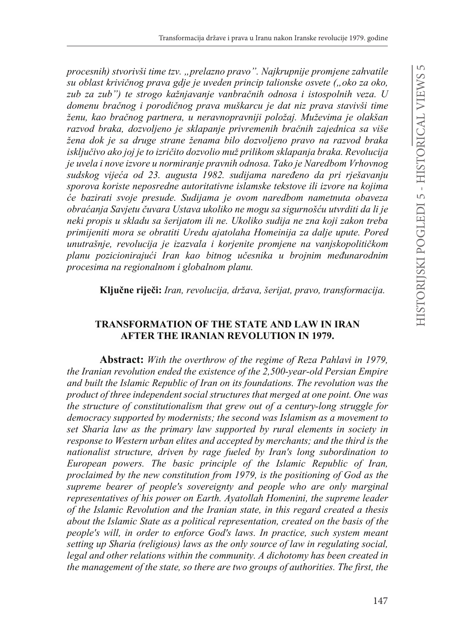*procesnih) stvorivši time tzv. "prelazno pravo". Najkrupnije promjene zahvatile su oblast krivičnog prava gdje je uveden princip talionske osvete ("oko za oko,* zub za zub") te strogo kažnjavanje vanbračnih odnosa i istospolnih veza. U domenu bračnog i porodičnog prava muškarcu je dat niz prava stavivši time ženu, kao bračnog partnera, u neravnopravniji položaj. Muževima je olakšan razvod braka, dozvoljeno je sklapanje privremenih bračnih zajednica sa više *žena dok je sa druge strane ženama bilo dozvoljeno pravo na razvod braka LVNOMXþLYRako joj je to L]ULþLWRGR]YROLRPXåSULOLNRPVNODSDQMDEUDNDRevolucija je uvela i nove izvore u normiranje pravnih odnosa. Tako je Naredbom Vrhovnog*   $Sudskog vijeća od 23. augusta 1982. sudijama naređeno da pri rješavanju$ *sporova koriste neposredne autoritativne islamske tekstove ili izvore na kojima üH ED]LUDWL VYRMH SUHVXGH 6XGLMDPD MH Rvom naredbom nametnuta obaveza REUDüDQMD6DYMHWXþXYDUD8VWDYDXNROLNRQHPRJXVDVLJXUQRãüXXWYUGLWi da li je neki propis u skladu sa šerijatom ili ne. Ukoliko sudija ne zna koji zakon treba primijeniti mora se obratiti Uredu ajatolaha Homeinija za dalje upute. Pored zunutrašnje, revolucija je izazvala i korjenite promjene na vanjskopolitičkom planu pozicionirajući Iran kao bitnog učesnika u brojnim međunarodnim procesima na regionalnom i globalnom planu.* 

Ključne riječi: Iran, revolucija, država, šerijat, pravo, transformacija.

## **TRANSFORMATION OF THE STATE AND LAW IN IRAN AFTER THE IRANIAN REVOLUTION IN 1979.**

**Abstract:** *With the overthrow of the regime of Reza Pahlavi in 1979, the Iranian revolution ended the existence of the 2,500-year-old Persian Empire and built the Islamic Republic of Iran on its foundations. The revolution was the product of three independent social structures that merged at one point. One was the structure of constitutionalism that grew out of a century-long struggle for democracy supported by modernists; the second was Islamism as a movement to set Sharia law as the primary law supported by rural elements in society in response to Western urban elites and accepted by merchants; and the third is the nationalist structure, driven by rage fueled by Iran's long subordination to European powers. The basic principle of the Islamic Republic of Iran, proclaimed by the new constitution from 1979, is the positioning of God as the supreme bearer of people's sovereignty and people who are only marginal representatives of his power on Earth. Ayatollah Homenini, the supreme leader of the Islamic Revolution and the Iranian state, in this regard created a thesis about the Islamic State as a political representation, created on the basis of the people's will, in order to enforce God's laws. In practice, such system meant setting up Sharia (religious) laws as the only source of law in regulating social, legal and other relations within the community. A dichotomy has been created in the management of the state, so there are two groups of authorities. The first, the*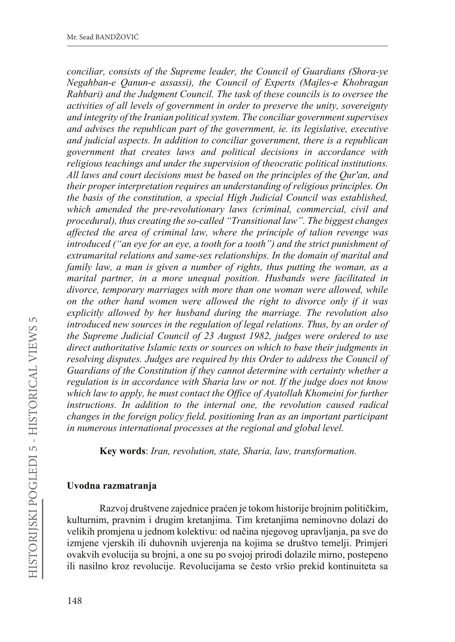*conciliar, consists of the Supreme leader, the Council of Guardians (Shora-ye Negahban-e Qanun-e assassi), the Council of Experts (Majles-e Khobragan Rahbari) and the Judgment Council. The task of these councils is to oversee the activities of all levels of government in order to preserve the unity, sovereignty and integrity of the Iranian political system. The conciliar government supervises and advises the republican part of the government, ie. its legislative, executive and judicial aspects. In addition to conciliar government, there is a republican government that creates laws and political decisions in accordance with religious teachings and under the supervision of theocratic political institutions. All laws and court decisions must be based on the principles of the Qur'an, and their proper interpretation requires an understanding of religious principles. On the basis of the constitution, a special High Judicial Council was established, which amended the pre-revolutionary laws (criminal, commercial, civil and procedural), thus creating the so-called "Transitional law". The biggest changes affected the area of criminal law, where the principle of talion revenge was introduced ("an eye for an eye, a tooth for a tooth") and the strict punishment of extramarital relations and same-sex relationships. In the domain of marital and family law, a man is given a number of rights, thus putting the woman, as a marital partner, in a more unequal position. Husbands were facilitated in divorce, temporary marriages with more than one woman were allowed, while on the other hand women were allowed the right to divorce only if it was explicitly allowed by her husband during the marriage. The revolution also introduced new sources in the regulation of legal relations. Thus, by an order of the Supreme Judicial Council of 23 August 1982, judges were ordered to use direct authoritative Islamic texts or sources on which to base their judgments in resolving disputes. Judges are required by this Order to address the Council of Guardians of the Constitution if they cannot determine with certainty whether a regulation is in accordance with Sharia law or not. If the judge does not know which law to apply, he must contact the Office of Ayatollah Khomeini for further instructions. In addition to the internal one, the revolution caused radical changes in the foreign policy field, positioning Iran as an important participant in numerous international processes at the regional and global level.*

**Key words**: *Iran, revolution, state, Sharia, law, transformation.*

#### **Uvodna razmatranja**

Razvoj društvene zajednice praćen je tokom historije brojnim političkim, kulturnim, pravnim i drugim kretanjima. Tim kretanjima neminovno dolazi do velikih promjena u jednom kolektivu: od načina njegovog upravljanja, pa sve do izmjene vjerskih ili duhovnih uvjerenja na kojima se društvo temelji. Primjeri ovakvih evolucija su brojni, a one su po svojoj prirodi dolazile mirno, postepeno ili nasilno kroz revolucije. Revolucijama se često vršio prekid kontinuiteta sa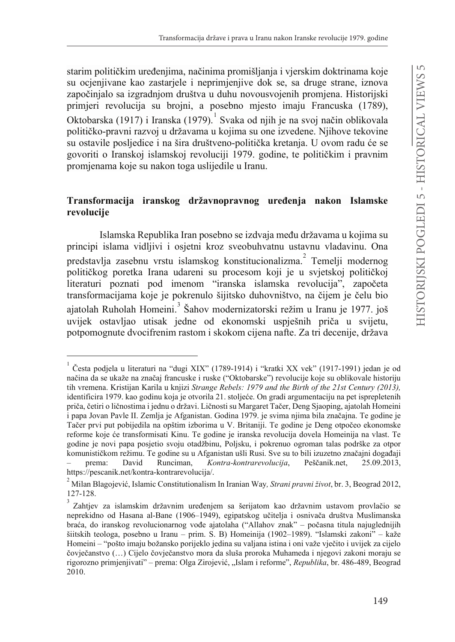starim političkim uređenijma, načinima promišliania i vierskim doktrinama koje su ocjenjivane kao zastarjele i neprimjenjive dok se, sa druge strane, iznova započinjalo sa izgradnjom društva u duhu novousvojenih promjena. Historijski primjeri revolucija su brojni, a posebno mjesto imaju Francuska (1789), Oktobarska (1917) i Iranska (1979). <sup>1</sup> Svaka od njih je na svoj način oblikovala političko-pravni razvoj u državama u kojima su one izvedene. Njihove tekovine su ostavile posljedice i na šira društveno-politička kretanja. U ovom radu će se govoriti o Iranskoj islamskoj revoluciji 1979. godine, te političkim i pravnim promjenama koje su nakon toga uslijedile u Iranu.

## Transformacija iranskog državnopravnog uređenja nakon Islamske **revolucije**

Islamska Republika Iran posebno se izdvaja među državama u kojima su principi islama vidljivi i osjetni kroz sveobuhvatnu ustavnu vladavinu. Ona predstavlja zasebnu vrstu islamskog konstitucionalizma. $^{2}$  Temelji modernog političkog poretka Irana udareni su procesom koji je u svjetskoj političkoj literaturi poznati pod imenom "iranska islamska revolucija", započeta transformacijama koje je pokrenulo šijitsko duhovništvo, na čijem je čelu bio ajatolah Ruholah Homeini.<sup>3</sup> Šahov modernizatorski režim u Iranu je 1977. još uvijek ostavljao utisak jedne od ekonomski uspješnih priča u svijetu. potpomognute dvocifrenim rastom i skokom cijena nafte. Za tri decenije, država

Česta podiela u literaturi na "dugi XIX" (1789-1914) i "kratki XX vek" (1917-1991) jedan je od načina da se ukaže na značaj francuske i ruske ("Oktobarske") revolucije koje su oblikovale historiju tih vremena. Kristijan Karila u knjizi *Strange Rebels: 1979 and the Birth of the 21st Century (2013),*  identificira 1979. kao godinu koja je otvorila 21. stoljeće. On gradi argumentaciju na pet isprepletenih priča, četiri o ličnostima i jednu o državi. Ličnosti su Margaret Tačer, Deng Sjaoping, ajatolah Homeini i papa Jovan Pavle II. Zemlja je Afganistan. Godina 1979. je svima njima bila značajna. Te godine je Tačer prvi put pobijedila na opštim izborima u V. Britaniji. Te godine je Deng otpočeo ekonomske reforme koje će transformisati Kinu. Te godine je iranska revolucija dovela Homeinija na vlast. Te godine je novi papa posjetio svoju otadžbinu, Poljsku, i pokrenuo ogroman talas podrške za otpor komunističkom režimu. Te godine su u Afganistan ušli Rusi. Sve su to bili izuzetno značajni događaji prema: David Runciman, *Kontra-kontrarevolucija*, Peščanik.net, 25.09.2013, https://pescanik.net/kontra-kontrarevolucija/.

<sup>2</sup> 0LODQ%ODJRMHYLüIslamic Constitutionalism In Iranian Way*, Strani pravni život*, br. 3, Beograd 2012, 127-128.

Zahtjev za islamskim državnim uređenjem sa šerijatom kao državnim ustavom provlačio se neprekidno od Hasana al-Bane (1906–1949), egipatskog učitelja i osnivača društva Muslimanska braća, do iranskog revolucionarnog vođe ajatolaha ("Allahov znak" – počasna titula najuglednijih šiitskih teologa, posebno u Iranu – prim. S. B) Homeinija (1902–1989). "Islamski zakoni" – kaže Homeini – "pošto imaju božansko porijeklo jedina su valjana istina i oni važe vječito i uvijek za cijelo čovječanstvo (...) Čijelo čovječanstvo mora da sluša proroka Muhameda i njegovi zakoni moraju se rigorozno primjenjivati" – prema: Olga Zirojević, "Islam i reforme", *Republika*, br. 486-489, Beograd 2010.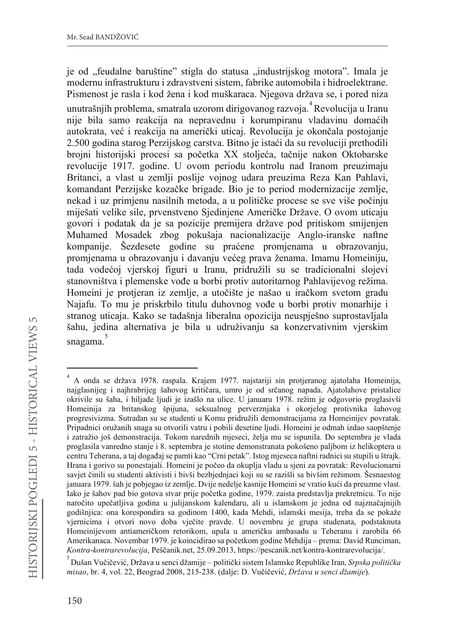je od "feudalne baruštine" stigla do statusa "industrijskog motora". Imala je modernu infrastrukturu i zdravstveni sistem, fabrike automobila i hidroelektrane. Pismenost je rasla i kod žena i kod muškaraca. Njegova država se, i pored niza unutrašnjih problema, smatrala uzorom dirigovanog razvoja.<sup>4</sup> Revolucija u Iranu nije bila samo reakcija na nepravednu i korumpiranu vladavinu domaćih autokrata, već i reakcija na američki uticaj. Revolucija je okončala postojanje 2.500 godina starog Perzijskog carstva. Bitno je istaći da su revoluciji prethodili brojni historijski procesi sa početka XX stoljeća, tačnije nakon Oktobarske revolucije 1917. godine. U ovom periodu kontrolu nad Iranom preuzimaju Britanci, a vlast u zemlji poslije vojnog udara preuzima Reza Kan Pahlavi, komandant Perzijske kozačke brigade. Bio je to period modernizacije zemlje, nekad i uz primjenu nasilnih metoda, a u političke procese se sve više počinju miješati velike sile, prvenstveno Sjedinjene Američke Države. O ovom uticaju govori i podatak da je sa pozicije premijera države pod pritiskom smijenjen Muhamed Mosadek zbog pokušaja nacionalizacije Anglo-iranske naftne kompanije. Šezdesete godine su praćene promjenama u obrazovanju, promjenama u obrazovanju i davanju većeg prava ženama. Imamu Homeiniju, tada vodećoj vjerskoj figuri u Iranu, pridružili su se tradicionalni slojevi stanovništva i plemenske vođe u borbi protiv autoritarnog Pahlavijevog režima. Homeini je protieran iz zemlje, a utočište je našao u iračkom svetom gradu Najafu. To mu je priskrbilo titulu duhovnog vođe u borbi protiv monarhije i stranog uticaja. Kako se tadašnja liberalna opozicija neuspješno suprostavljala šahu, jedina alternativa je bila u udruživanju sa konzervativnim vjerskim snagama. 5

<sup>4</sup> A onda se država 1978. raspala. Krajem 1977. najstariji sin protjeranog ajatolaha Homeinija, najglasnijeg i najhrabrijeg šahovog kritičara, umro je od srčanog napada. Ajatolahove pristalice okrivile su šaha, i hiljade ljudi je izašlo na ulice. U januaru 1978. režim je odgovorio proglasivši Homeinija za britanskog špijuna, seksualnog perverznjaka i okorjelog protivnika šahovog progresivizma. Sutradan su se studenti u Komu pridružili demonstracijama za Homeinijev povratak. Pripadnici oružanih snaga su otvorili vatru i pobili desetine ljudi. Homeini je odmah izdao saopštenje i zatražio još demonstracija. Tokom narednih mjeseci, želja mu se ispunila. Do septembra je vlada proglasila vanredno stanje i 8. septembra je stotine demonstranata pokošeno paljbom iz helikoptera u centru Teherana, a taj događaj se pamti kao "Crni petak". Istog mjeseca naftni radnici su stupili u štrajk. Hrana i gorivo su ponestajali. Homeini je počeo da okuplja vladu u sjeni za povratak: Revolucionarni savjet činili su studenti aktivisti i bivši bezbjednjaci koji su se razišli sa bivšim režimom. Šesnaestog januara 1979. šah je pobjegao iz zemlje. Dvije nedelje kasnije Homeini se vratio kući da preuzme vlast. Iako je šahov pad bio gotova stvar prije početka godine, 1979. zaista predstavlja prekretnicu. To nije naročito upečatljiva godina u julijanskom kalendaru, ali u islamskom je jedna od najznačajnijih godišnjica: ona korespondira sa godinom 1400, kada Mehdi, islamski mesija, treba da se pokaže vjernicima i otvori novo doba vječite pravde. U novembru je grupa studenata, podstaknuta Homeinijevom antiameričkom retorikom, upala u američku ambasadu u Teheranu i zarobila 66 Amerikanaca. Novembar 1979. je koincidirao sa početkom godine Mehdija – prema: David Runciman, Kontra-kontrarevolucija, Peščanik.net, 25.09.2013, https://pescanik.net/kontra-kontrarevolucija/.

<sup>&</sup>lt;sup>5</sup> Dušan Vučičević, Država u senci džamije – politički sistem Islamske Republike Iran, *Srpska politička misao*, br. 4, vol. 22, Beograd 2008, 215-238. (dalje: D. Vučičević, *Država u senci džamije*).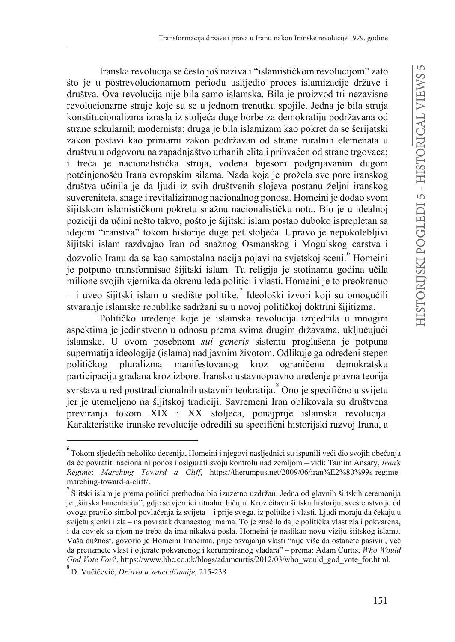Iranska revolucija se često još naziva i "islamističkom revolucijom" zato što je u postrevolucionarnom periodu uslijedio proces islamizacije države i društva. Ova revolucija nije bila samo islamska. Bila je proizvod tri nezavisne revolucionarne struje koje su se u jednom trenutku spojile. Jedna je bila struja konstitucionalizma izrasla iz stolieća duge borbe za demokratiju podržavana od strane sekularnih modernista; druga je bila islamizam kao pokret da se šerijatski zakon postavi kao primarni zakon podržavan od strane ruralnih elemenata u društvu u odgovoru na zapadnjaštvo urbanih elita i prihvaćen od strane trgovaca; i treća je nacionalistička struja, vođena bijesom podgrijavanim dugom potčinjenošću Irana evropskim silama. Nada koja je prožela sve pore iranskog društva učinila je da ljudi iz svih društvenih slojeva postanu željni iranskog suvereniteta, snage i revitaliziranog nacionalnog ponosa. Homeini je dodao svom šijitskom islamističkom pokretu snažnu nacionalističku notu. Bio je u idealnoj poziciji da učini nešto takvo, pošto je šijitski islam postao duboko isprepletan sa idejom "iranstva" tokom historije duge pet stoljeća. Upravo je nepokolebljivi šijitski islam razdvajao Iran od snažnog Osmanskog i Mogulskog carstva i dozvolio Iranu da se kao samostalna nacija pojavi na svjetskoj sceni.<sup>6</sup> Homeini je potpuno transformisao šijitski islam. Ta religija je stotinama godina učila milione svojih vjernika da okrenu leđa politici i vlasti. Homeini je to preokrenuo  $-$  i uveo šijitski islam u središte politike.<sup>7</sup> Ideološki izvori koji su omogućili stvaranje islamske republike sadržani su u novoj političkoj doktrini šijitizma.

Političko uređenje koje je islamska revolucija iznjedrila u mnogim aspektima je jedinstveno u odnosu prema svima drugim državama, uključujući islamske. U ovom posebnom *sui generis* sistemu proglašena je potpuna supermatija ideologije (islama) nad javnim životom. Odlikuje ga određeni stepen političkog pluralizma manifestovanog kroz ograničenu demokratsku participaciju građana kroz izbore. Iransko ustavnopravno uređenje pravna teorija svrstava u red posttradicionalnih ustavnih teokratija. $\degree$ Ono je specifično u svijetu jer je utemeljeno na šijitskoj tradiciji. Savremeni Iran oblikovala su društvena previranja tokom XIX i XX stoljeća, ponajprije islamska revolucija. Karakteristike iranske revolucije odredili su specifični historijski razvoj Irana, a

 $^6$ Tokom sljedećih nekoliko decenija, Homeini i njegovi nasljednici su ispunili veći dio svojih obećanja da će povratiti nacionalni ponos i osigurati svoju kontrolu nad zemljom – vidi: Tamim Ansary, *Iran's Regime*: *Marching Toward a Cliff*, https://therumpus.net/2009/06/iran%E2%80%99s-regimemarching-toward-a-cliff/.

<sup>7</sup> Šiitski islam je prema politici prethodno bio izuzetno uzdržan. Jedna od glavnih šiitskih ceremonija je "šiitska lamentacija", gdje se vjernici ritualno bičuju. Kroz čitavu šiitsku historiju, sveštenstvo je od ovoga pravilo simbol povlačenja iz svijeta – i prije svega, iz politike i vlasti. Ljudi moraju da čekaju u svijetu sjenki i zla – na povratak dvanaestog imama. To je značilo da je politička vlast zla i pokvarena, i da čovjek sa njom ne treba da ima nikakva posla. Homeini je naslikao novu viziju šiitskog islama. Vaša dužnost, govorio je Homeini Irancima, prije osvajanja vlasti "nije više da ostanete pasivni, već da preuzmete vlast i otjerate pokvarenog i korumpiranog vladara" – prema: Adam Curtis, *Who Would God Vote For?*, https://www.bbc.co.uk/blogs/adamcurtis/2012/03/who\_would\_god\_vote\_for.html.

<sup>&</sup>lt;sup>8</sup> D. Vučičević, *Država u senci džamije*, 215-238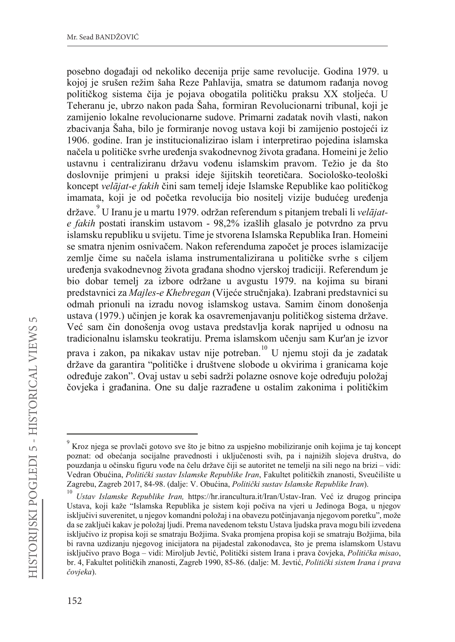posebno događaji od nekoliko decenija prije same revolucije. Godina 1979. u kojoj je srušen režim šaha Reze Pahlavija, smatra se datumom rađanja novog političkog sistema čija je pojava obogatila političku praksu XX stoljeća. U Teheranu je, ubrzo nakon pada Šaha, formiran Revolucionarni tribunal, koji je zamijenio lokalne revolucionarne sudove. Primarni zadatak novih vlasti, nakon zbacivanja Šaha, bilo je formiranje novog ustava koji bi zamijenio postojeći iz 1906. godine. Iran je institucionalizirao islam i interpretirao pojedina islamska načela u političke svrhe uređenja svakodnevnog života građana. Homeini je želio ustavnu i centraliziranu državu vođenu islamskim pravom. Težio je da što doslovnije primjeni u praksi ideje šijitskih teoretičara. Sociološko-teološki koncept velājat-e fakih čini sam temelj ideje Islamske Republike kao političkog imamata, koji je od početka revolucija bio nositelj vizije budućeg uređenja države. U Iranu je u martu 1979. održan referendum s pitaniem trebali li velājate fakih postati iranskim ustavom - 98,2% izašlih glasalo je potvrdno za prvu islamsku republiku u svijetu. Time je stvorena Islamska Republika Iran. Homeini se smatra njenim osnivačem. Nakon referenduma započet je proces islamizacije zemlie čime su načela islama instrumentalizirana u političke svrhe s ciliem uređenja svakodnevnog života građana shodno vjerskoj tradiciji. Referendum je bio dobar temelj za izbore održane u avgustu 1979. na kojima su birani predstavnici za Majles-e Khebregan (Vijeće stručniaka). Izabrani predstavnici su odmah prionuli na izradu novog islamskog ustava. Samim činom donošenja ustava (1979.) učinjen je korak ka osavremenjavanju političkog sistema države. Već sam čin donošenja ovog ustava predstavlja korak naprijed u odnosu na tradicionalnu islamsku teokratiju. Prema islamskom učenju sam Kur'an je izvor prava i zakon, pa nikakav ustav nije potreban.<sup>10</sup> U njemu stoji da je zadatak države da garantira "političke i društvene slobode u okvirima i granicama koje određuje zakon". Ovaj ustav u sebi sadrži polazne osnove koje određuju položaj čovjeka i građanina. One su dalje razrađene u ostalim zakonima i političkim

Kroz njega se provlači gotovo sve što je bitno za uspješno mobiliziranje onih kojima je taj koncept poznat: od obećanja socijalne pravednosti i uključenosti svih, pa i najnižih slojeva društva, do pouzdanja u očinsku figuru vođe na čelu države čiji se autoritet ne temelji na sili nego na brizi – vidi: Vedran Obućina, Politički sustav Islamske Republike Iran, Fakultet političkih znanosti, Sveučilište u Zagrebu, Zagreb 2017, 84-98. (dalje: V. Obućina, Politički sustav Islamske Republike Iran).

Ustav Islamske Republike Iran, https://hr.irancultura.it/Iran/Ustav-Iran. Već iz drugog principa Ustava, koji kaže "Islamska Republika je sistem koji počiva na vjeri u Jedinoga Boga, u njegov isključivi suverenitet, u njegov komandni položaj i na obavezu potčinjavanja njegovom poretku", može da se zaključi kakav je položaj ljudi. Prema navedenom tekstu Ustava ljudska prava mogu bili izvedena isključivo iz propisa koji se smatraju Božjima. Svaka promjena propisa koji se smatraju Božjima, bila bi ravna uzdizanju njegovog inicijatora na pijadestal zakonodavca, što je prema islamskom Ustavu isključivo pravo Boga – vidi: Miroljub Jevtić, Politički sistem Irana i prava čovjeka, Politička misao, br. 4. Fakultet političkih znanosti, Zagreb 1990, 85-86. (dalje: M. Jevtić, Politički sistem Irana i prava čovjeka).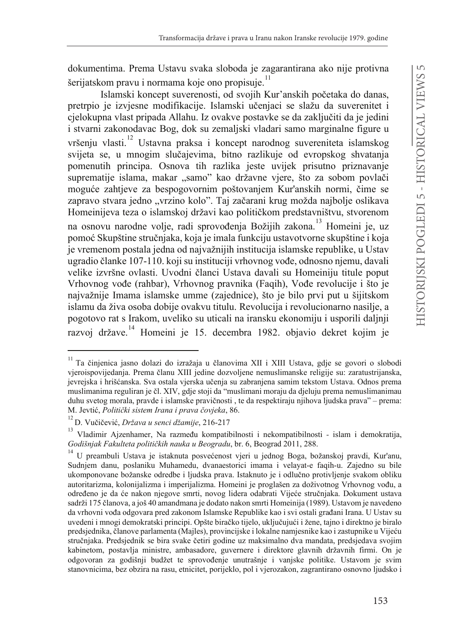dokumentima. Prema Ustavu svaka sloboda je zagarantirana ako nije protivna šerijatskom pravu i normama koje ono propisuje.<sup>11</sup>

Islamski koncept suverenosti, od svojih Kur'anskih početaka do danas, pretrpio je izvjesne modifikacije. Islamski učenjaci se slažu da suverenitet i cjelokupna vlast pripada Allahu. Iz ovakve postavke se da zaključiti da je jedini i stvarni zakonodavac Bog, dok su zemaljski vladari samo marginalne figure u vršeniu vlasti.<sup>12</sup> Ustavna praksa i koncept narodnog suvereniteta islamskog svijeta se, u mnogim slučajevima, bitno razlikuje od evropskog shvatanja pomenutih principa. Osnova tih razlika jeste uvijek prisutno priznavanje suprematije islama, makar "samo" kao državne vjere, što za sobom povlači moguće zahtjeve za bespogovornim poštovanjem Kur'anskih normi, čime se zapravo stvara jedno "vrzino kolo". Taj začarani krug možda najbolje oslikava Homeinijeva teza o islamskoj državi kao političkom predstavništvu, stvorenom na osnovu narodne volje, radi sprovođenja Božijih zakona.<sup>13</sup> Homeini je, uz pomoć Skupštine stručnjaka, koja je imala funkciju ustavotvorne skupštine i koja je vremenom postala jedna od najvažnijih institucija islamske republike, u Ustav ugradio članke 107-110. koji su instituciji vrhovnog vođe, odnosno njemu, davali velike izvršne ovlasti. Uvodni članci Ustava davali su Homeiniju titule poput Vrhovnog vođe (rahbar), Vrhovnog pravnika (Faqih), Vođe revolucije i što je najvažnije Imama islamske umme (zajednice), što je bilo prvi put u šijitskom islamu da živa osoba dobije ovakvu titulu. Revolucija i revolucionarno nasilje, a pogotovo rat s Irakom, uveliko su uticali na iransku ekonomiju i usporili daljnji razvoj države.<sup>14</sup> Homeini je 15. decembra 1982. objavio dekret kojim je

<sup>&</sup>lt;sup>11</sup> Ta činienica iasno dolazi do izražaja u članovima XII i XIII Ustava, gdje se govori o slobodi vieroispovijedanja. Prema članu XIII jedine dozvoljene nemuslimanske religije su: zaratustrijanska. jevrejska i hrišćanska. Sva ostala vjerska učenja su zabranjena samim tekstom Ustava. Odnos prema muslimanima reguliran je čl. XIV, gdje stoji da "muslimani moraju da djeluju prema nemuslimanimau duhu svetog morala, pravde i islamske pravičnosti, te da respektiraju njihova ljudska prava" – prema: M. Jevtić, Politički sistem Irana i prava čovjeka, 86.

<sup>&</sup>lt;sup>12</sup> D. Vučičević, Država u senci džamije, 216-217

<sup>&</sup>lt;sup>13</sup> Vladimir Aizenhamer, Na razmeđu kompatibilnosti i nekompatibilnosti - islam i demokratija, Godišnjak Fakulteta političkih nauka u Beogradu, br. 6, Beograd 2011, 288.

<sup>&</sup>lt;sup>14</sup> U preambuli Ustava je istaknuta posvećenost vjeri u jednog Boga, božanskoj pravdi, Kur'anu, Sudnjem danu, poslaniku Muhamedu, dvanaestorici imama i velavat-e faqih-u. Zajedno su bile ukomponovane božanske odredbe i ljudska prava. Istaknuto je i odlučno protivljenje svakom obliku autoritarizma, kolonijalizma i imperijalizma. Homeini je proglašen za doživotnog Vrhovnog vođu, a određeno je da će nakon njegove smrti, novog lidera odabrati Vijeće stručnjaka. Dokument ustava sadrži 175 članova, a još 40 amandmana je dodato nakon smrti Homeinija (1989). Ustavom je navedeno da vrhovni vođa odgovara pred zakonom Islamske Republike kao i svi ostali građani Irana. U Ustav su uvedeni i mnogi demokratski principi. Opšte biračko tijelo, uključujući i žene, tajno i direktno je biralo predsjednika, članove parlamenta (Majles), provincijske i lokalne namjesnike kao i zastupnike u Vijeću stručnjaka. Predsjednik se bira svake četiri godine uz maksimalno dva mandata, predsjedava svojim kabinetom, postavlja ministre, ambasadore, guvernere i direktore glavnih državnih firmi. On je odgovoran za godišnji budžet te sprovođenje unutrašnje i vanjske politike. Ustavom je svim stanovnicima, bez obzira na rasu, etnicitet, porijeklo, pol i vjerozakon, zagrantirano osnovno ljudsko i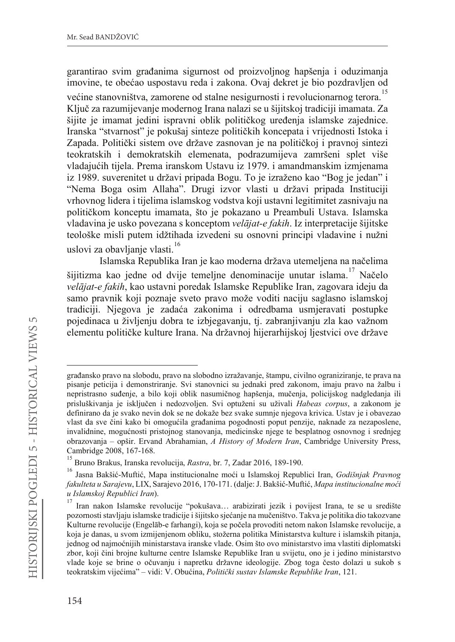garantirao svim građanima sigurnost od proizvolinog hapšenia i oduzimania imovine, te obećao uspostavu reda i zakona. Ovaj dekret je bio pozdravljen od većine stanovništva, zamorene od stalne nesigurnosti i revolucionarnog terora.<sup>15</sup> Ključ za razumijevanje modernog Irana nalazi se u šijitskoj tradiciji imamata. Za šijite je imamat jedini ispravni oblik političkog uređenja islamske zajednice. Iranska "stvarnost" je pokušaj sinteze političkih koncepata i vrijednosti Istoka i Zapada. Politički sistem ove države zasnovan je na političkoj i pravnoj sintezi teokratskih i demokratskih elemenata, podrazumijeva zamršeni splet više vladajućih tijela. Prema iranskom Ustavu iz 1979. i amandmanskim izmjenama iz 1989. suverenitet u državi pripada Bogu. To je izraženo kao "Bog je jedan" i "Nema Boga osim Allaha". Drugi izvor vlasti u državi pripada Instituciji vrhovnog lidera i tijelima islamskog vodstva koji ustavni legitimitet zasnivaju na političkom konceptu imamata, što je pokazano u Preambuli Ustava. Islamska vladavina je usko povezana s konceptom velājat-e fakih. Iz interpretacije šijitske teološke misli putem idžtihada izvedeni su osnovni principi vladavine i nužni uslovi za obavljanje vlasti.<sup>16</sup>

Islamska Republika Iran je kao moderna država utemeljena na načelima šijitizma kao jedne od dvije temeljne denominacije unutar islama.<sup>17</sup> Načelo velājat-e fakih, kao ustavni poredak Islamske Republike Iran, zagovara ideju da samo pravnik koji poznaje sveto pravo može voditi naciju saglasno islamskoj tradiciji. Njegova je zadaća zakonima i odredbama usmjeravati postupke pojedinaca u življenju dobra te izbjegavanju, tj. zabranjivanju zla kao važnom elementu političke kulture Irana. Na državnoj hijerarhijskoj ljestvici ove države

građansko pravo na slobodu, pravo na slobodno izražavanje, štampu, civilno ograniziranje, te prava na pisanje peticija i demonstriranje. Svi stanovnici su jednaki pred zakonom, imaju pravo na žalbu i nepristrasno suđenje, a bilo koji oblik nasumičnog hapšenja, mučenja, policijskog nadgledanja ili prisluškivanja je isključen i nedozvoljen. Svi optuženi su uživali Habeas corpus, a zakonom je definirano da je svako nevin dok se ne dokaže bez svake sumnje njegova krivica. Ustav je i obavezao vlast da sve čini kako bi omogućila građanima pogodnosti poput penzije, naknade za nezaposlene, invalidnine, mogućnosti pristojnog stanovanja, medicinske njege te besplatnog osnovnog i srednjeg obrazovanja – opšir. Ervand Abrahamian, A History of Modern Iran, Cambridge University Press, Cambridge 2008, 167-168.

<sup>&</sup>lt;sup>15</sup> Bruno Brakus, Iranska revolucija, *Rastra*, br. 7, Zadar 2016, 189-190.

<sup>&</sup>lt;sup>16</sup> Jasna Bakšić-Muftić, Mapa institucionalne moći u Islamskoj Republici Iran, Godišnjak Pravnog fakulteta u Sarajevu, LIX, Sarajevo 2016, 170-171. (dalje: J. Bakšić-Muftić, Mapa institucionalne moći u Islamskoj Republici Iran).

Iran nakon Islamske revolucije "pokušava... arabizirati jezik i povijest Irana, te se u središte pozornosti stavljaju islamske tradicije i šijitsko sjećanje na mučeništvo. Takva je politika dio takozvane Kulturne revolucije (Engelāb-e farhangi), koja se počela provoditi netom nakon Islamske revolucije, a koja je danas, u svom izmijenjenom obliku, stožerna politika Ministarstva kulture i islamskih pitanja, jednog od najmoćnijih ministarstava iranske vlade. Osim što ovo ministarstvo ima vlastiti diplomatski zbor, koji čini brojne kulturne centre Islamske Republike Iran u svijetu, ono je i jedino ministarstvo vlade koje se brine o očuvanju i napretku državne ideologije. Zbog toga često dolazi u sukob s teokratskim vijećima" - vidi: V. Obućina, Politički sustav Islamske Republike Iran, 121.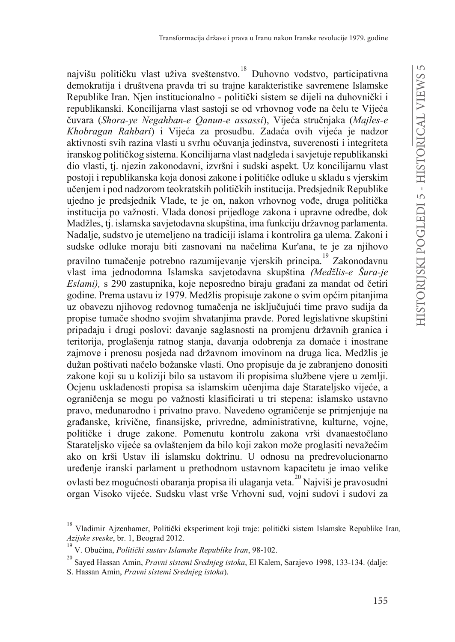najvišu političku vlast uživa sveštenstvo.<sup>18</sup> Duhovno vodstvo, participativna demokratija i društvena pravda tri su trajne karakteristike savremene Islamske Republike Iran. Njen institucionalno - politički sistem se dijeli na duhovnički i republikanski. Koncilijarna vlast sastoji se od vrhovnog vođe na čelu te Vijeća čuvara (*Shora-ye Negahban-e Qanun-e assassi*), Vijeća stručnjaka (*Majles-e Khobragan Rahbari*) i Vijeća za prosudbu. Zadaća ovih vijeća je nadzor aktivnosti svih razina vlasti u svrhu očuvanja jedinstva, suverenosti i integriteta iranskog političkog sistema. Koncilijarna vlast nadgleda i savjetuje republikanski dio vlasti, tj. njezin zakonodavni, izvršni i sudski aspekt. Uz koncilijarnu vlast postoji i republikanska koja donosi zakone i političke odluke u skladu s vjerskim učenjem i pod nadzorom teokratskih političkih institucija. Predsjednik Republike ujedno je predsjednik Vlade, te je on, nakon vrhovnog vođe, druga politička institucija po važnosti. Vlada donosi prijedloge zakona i upravne odredbe, dok Madžles, tj. islamska savjetodavna skupština, ima funkciju državnog parlamenta. Nadalje, sudstvo je utemeljeno na tradiciji islama i kontrolira ga ulema. Zakoni i sudske odluke moraju biti zasnovani na načelima Kur'ana, te je za njihovo pravilno tumačenje potrebno razumijevanje vjerskih principa. <sup>19</sup> Zakonodavnu vlast ima jednodomna Islamska savjetodavna skupština *(Medžlis-e Šura-je Eslami*), s 290 zastupnika, koje neposredno biraju građani za mandat od četiri godine. Prema ustavu iz 1979. Medžlis propisuje zakone o svim općim pitanjima uz obavezu njihovog redovnog tumačenja ne isključujući time pravo sudija da propise tumače shodno svojim shvatanjima pravde. Pored legislativne skupštini pripadaju i drugi poslovi: davanje saglasnosti na promjenu državnih granica i teritorija, proglašenja ratnog stanja, davanja odobrenja za domaće i inostrane zajmove i prenosu posjeda nad državnom imovinom na druga lica. Medžlis je dužan poštivati načelo božanske vlasti. Ono propisuje da je zabranjeno donositi zakone koji su u koliziji bilo sa ustavom ili propisima službene vjere u zemlji. Ocienu usklađenosti propisa sa islamskim učenijma daje Starateljsko vijeće, a ograničenja se mogu po važnosti klasificirati u tri stepena: islamsko ustavno pravo, međunarodno i privatno pravo. Navedeno ograničenje se primjenjuje na građanske, krivične, finansijske, privredne, administrativne, kulturne, vojne, političke i druge zakone. Pomenutu kontrolu zakona vrši dvanaestočlano Starateljsko vijeće sa ovlaštenjem da bilo koji zakon može proglasiti nevažećim ako on krši Ustav ili islamsku doktrinu. U odnosu na predrevolucionarno uređenje iranski parlament u prethodnom ustavnom kapacitetu je imao velike ovlasti bez mogućnosti obaranja propisa ili ulaganja veta.<sup>20</sup> Najviši je pravosudni organ Visoko vijeće. Sudsku vlast vrše Vrhovni sud, vojni sudovi i sudovi za

<sup>&</sup>lt;sup>18</sup> Vladimir Ajzenhamer, Politički eksperiment koji traje: politički sistem Islamske Republike Iran, *Azijske sveske*, br. 1, Beograd 2012.

<sup>&</sup>lt;sup>19</sup> V. Obućina, *Politički sustav Islamske Republike Iran*, 98-102.

<sup>20</sup> Sayed Hassan Amin, *Pravni sistemi Srednjeg istoka*, El Kalem, Sarajevo 1998, 133-134. (dalje: S. Hassan Amin, *Pravni sistemi Srednjeg istoka*).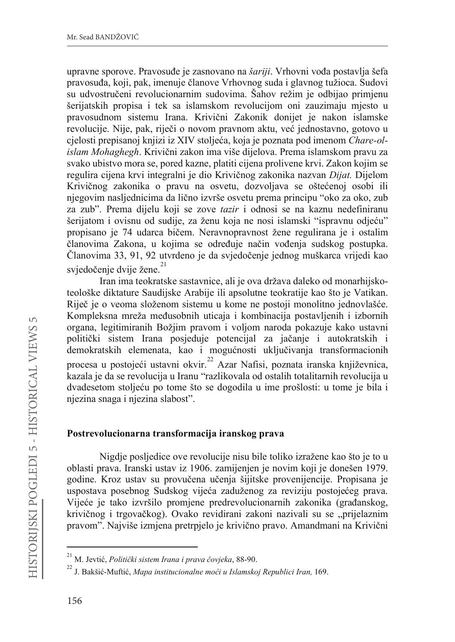upravne sporove. Pravosuđe je zasnovano na šariji. Vrhovni vođa postavlja šefa pravosuđa, koji, pak, imenuje članove Vrhovnog suda i glavnog tužioca. Sudovi su udvostručeni revolucionarnim sudovima. Šahov režim je odbijao primjenu šerijatskih propisa i tek sa islamskom revolucijom oni zauzimaju mjesto u pravosudnom sistemu Irana. Krivični Zakonik donijet je nakon islamske revolucije. Nije, pak, riječi o novom pravnom aktu, već jednostavno, gotovo u cjelosti prepisanoj knjizi iz XIV stoljeća, koja je poznata pod imenom Chare-olislam Mohaghegh. Krivični zakon ima više dijelova. Prema islamskom pravu za svako ubistvo mora se, pored kazne, platiti cijena prolivene krvi. Zakon kojim se regulira cijena krvi integralni je dio Krivičnog zakonika nazvan Dijat. Dijelom Krivičnog zakonika o pravu na osvetu, dozvoljava se oštećenoj osobi ili njegovim nasljednicima da lično izvrše osvetu prema principu "oko za oko, zub za zub". Prema dijelu koji se zove *tazir* i odnosi se na kaznu nedefiniranu šerijatom i ovisnu od sudije, za ženu koja ne nosi islamski "ispravnu odjeću" propisano je 74 udarca bičem. Neravnopravnost žene regulirana je i ostalim članovima Zakona, u kojima se određuje način vođenja sudskog postupka. Članovima 33, 91, 92 utvrđeno je da svjedočenje jednog muškarca vrijedi kao svjedočenje dvije žene.<sup>21</sup>

Iran ima teokratske sastavnice, ali je ova država daleko od monarhijskoteološke diktature Saudijske Arabije ili apsolutne teokratije kao što je Vatikan. Riječ je o veoma složenom sistemu u kome ne postoji monolitno jednovlašće. Kompleksna mreža međusobnih uticaja i kombinacija postavljenih i izbornih organa, legitimiranih Božjim pravom i voljom naroda pokazuje kako ustavni politički sistem Irana posjeduje potencijal za jačanje i autokratskih i demokratskih elemenata, kao i mogućnosti uključivanja transformacionih procesa u postojeći ustavni okvir.<sup>22</sup> Azar Nafisi, poznata iranska književnica, kazala je da se revolucija u Iranu "razlikovala od ostalih totalitarnih revolucija u dvadesetom stolieću po tome što se dogodila u ime prošlosti: u tome je bila i njezina snaga i njezina slabost".

#### Postrevolucionarna transformacija iranskog prava

Nigdje posljedice ove revolucije nisu bile toliko izražene kao što je to u oblasti prava. Iranski ustav iz 1906. zamijenjen je novim koji je donešen 1979. godine. Kroz ustav su provučena učenja šijitske provenijencije. Propisana je uspostava posebnog Sudskog vijeća zaduženog za reviziju postojećeg prava. Vijeće je tako izvršilo promjene predrevolucionarnih zakonika (građanskog, krivičnog i trgovačkog). Ovako revidirani zakoni nazivali su se "prijelaznim pravom". Najviše izmjena pretrpjelo je krivično pravo. Amandmani na Krivični

<sup>&</sup>lt;sup>21</sup> M. Jevtić, Politički sistem Irana i prava čovjeka, 88-90.

 $^{22}$  J. Bakšić-Muftić. *Mapa institucionalne moći u Islamskoj Republici Iran*, 169.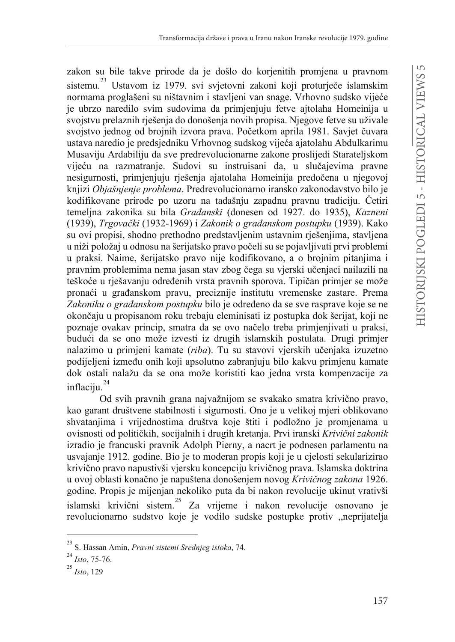zakon su bile takve prirode da je došlo do korienitih promiena u pravnom sistemu.<sup>23</sup> Ustavom iz 1979. svi svietovni zakoni koji proturječe islamskim normama proglašeni su ništavnim i stavljeni van snage. Vrhovno sudsko vijeće je ubrzo naredilo svim sudovima da primieniuju fetve aitolaha Homeinija u svojstvu prelaznih riešenia do donošenia novih propisa. Njegove fetve su uživale svojstvo jednog od brojnih izvora prava. Početkom aprila 1981. Savjet čuvara ustava naredio je predsjedniku Vrhovnog sudskog vijeća ajatolahu Abdulkarimu Musaviju Ardabiliju da sve predrevolucionarne zakone proslijedi Starateljskom vijeću na razmatranje. Sudovi su instruisani da, u slučajevima pravne nesigurnosti, primjenjuju rješenja ajatolaha Homeinija predočena u njegovoj knjizi Objašnjenje problema. Predrevolucionarno iransko zakonodavstvo bilo je kodifikovane prirode po uzoru na tadašnju zapadnu pravnu tradiciju. Četiri temelina zakonika su bila *Građanski* (donesen od 1927. do 1935), *Kazneni* (1939), Trgovački (1932-1969) i Zakonik o građanskom postupku (1939). Kako su ovi propisi, shodno prethodno predstavljenim ustavnim rješenjima, stavljena u niži položaj u odnosu na šerijatsko pravo počeli su se pojavljivati prvi problemi u praksi. Naime, šerijatsko pravo nije kodifikovano, a o brojnim pitanjima i pravnim problemima nema jasan stav zbog čega su vjerski učenjaci nailazili na teškoće u rješavanju određenih vrsta pravnih sporova. Tipičan primjer se može pronaći u građanskom pravu, preciznije institutu vremenske zastare. Prema Zakoniku o građanskom postupku bilo je određeno da se sve rasprave koje se ne okončaju u propisanom roku trebaju eleminisati iz postupka dok šerijat, koji ne poznaje ovakav princip, smatra da se ovo načelo treba primjenjivati u praksi, budući da se ono može izvesti iz drugih islamskih postulata. Drugi primjer nalazimo u primjeni kamate (riba). Tu su stavovi vjerskih učenjaka izuzetno podijeljeni između onih koji apsolutno zabranjuju bilo kakvu primjenu kamate dok ostali nalažu da se ona može koristiti kao jedna vrsta kompenzacije za inflaciiu.<sup>24</sup>

Od svih pravnih grana najvažnijom se svakako smatra krivično pravo, kao garant društvene stabilnosti i sigurnosti. Ono je u velikoj mjeri oblikovano shvatanjima i vrijednostima društva koje štiti i podložno je promjenama u ovisnosti od političkih, socijalnih i drugih kretanja. Prvi iranski Krivični zakonik izradio je francuski pravnik Adolph Pierny, a nacrt je podnesen parlamentu na usvajanje 1912. godine. Bio je to moderan propis koji je u cjelosti sekularizirao krivično pravo napustivši vjersku koncepciju krivičnog prava. Islamska doktrina u ovoj oblasti konačno je napuštena donošenjem novog Krivičnog zakona 1926. godine. Propis je mijenjan nekoliko puta da bi nakon revolucije ukinut vrativši islamski krivični sistem.<sup>25</sup> Za vrijeme i nakon revolucije osnovano je revolucionarno sudstvo koje je vodilo sudske postupke protiv "neprijatelja

<sup>&</sup>lt;sup>23</sup> S. Hassan Amin, Pravni sistemi Srednjeg istoka, 74.

 $^{24}$  Isto, 75-76.

 $^{25}$  Isto, 129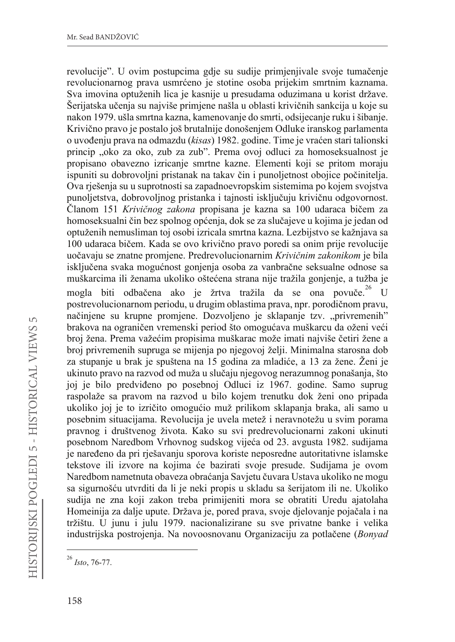revolucije". U ovim postupcima gdie su sudije primienijvale svoje tumačenje revolucionarnog prava usmrćeno je stotine osoba prijekim smrtnim kaznama. Sva imovina optuženih lica je kasnije u presudama oduzimana u korist države. Šerijatska učenja su najviše primjene našla u oblasti krivičnih sankcija u koje su nakon 1979. ušla smrtna kazna, kamenovanie do smrti, odsijecanie ruku i šibanie. Krivično pravo je postalo još brutalnije donošenjem Odluke iranskog parlamenta o uvođenju prava na odmazdu (kisas) 1982. godine. Time je vraćen stari talionski princip "oko za oko, zub za zub". Prema ovoj odluci za homoseksualnost je propisano obavezno izricanie smrtne kazne. Elementi koji se pritom moraju ispuniti su dobrovoljni pristanak na takav čin i punoljetnost obojice počinitelja. Ova rješenja su u suprotnosti sa zapadnoevropskim sistemima po kojem svojstva punoljetstva, dobrovoljnog pristanka i tajnosti isključuju krivičnu odgovornost. Članom 151 Krivičnog zakona propisana je kazna sa 100 udaraca bičem za homoseksualni čin bez spolnog općenja, dok se za slučajeve u kojima je jedan od optuženih nemusliman toj osobi izricala smrtna kazna. Lezbijstvo se kažnjava sa 100 udaraca bičem. Kada se ovo krivično pravo poredi sa onim prije revolucije uočavaju se znatne promjene. Predrevolucionarnim Krivičnim zakonikom je bila isključena svaka mogućnost gonjenja osoba za vanbračne seksualne odnose sa muškarcima ili ženama ukoliko oštećena strana nije tražila gonjenje, a tužba je mogla biti odbačena ako je žrtva tražila da se ona povuče.<sup>26</sup>  $\overline{1}$ postrevolucionarnom periodu, u drugim oblastima prava, npr. porodičnom pravu, načinjene su krupne promjene. Dozvoljeno je sklapanje tzv. "privremenih" brakova na ograničen vremenski period što omogućava muškarcu da oženi veći broj žena. Prema važećim propisima muškarac može imati najviše četiri žene a broj privremenih supruga se mijenja po njegovoj želji. Minimalna starosna dob za stupanje u brak je spuštena na 15 godina za mladiće, a 13 za žene. Ženi je ukinuto pravo na razvod od muža u slučaju njegovog nerazumnog ponašanja, što joj je bilo predviđeno po posebnoj Odluci iz 1967. godine. Samo suprug raspolaže sa pravom na razvod u bilo kojem trenutku dok ženi ono pripada ukoliko joj je to izričito omogućio muž prilikom sklapanja braka, ali samo u posebnim situacijama. Revolucija je uvela metež i neravnotežu u svim porama pravnog i društvenog života. Kako su svi predrevolucionarni zakoni ukinuti posebnom Naredbom Vrhovnog sudskog vijeća od 23. avgusta 1982. sudijama je naređeno da pri rješavanju sporova koriste neposredne autoritativne islamske tekstove ili izvore na kojima će bazirati svoje presude. Sudijama je ovom Naredbom nametnuta obaveza obraćanja Savjetu čuvara Ustava ukoliko ne mogu sa sigurnošću utvrditi da li je neki propis u skladu sa šerijatom ili ne. Ukoliko sudija ne zna koji zakon treba primijeniti mora se obratiti Uredu ajatolaha Homeinija za dalje upute. Država je, pored prava, svoje djelovanje pojačala i na tržištu. U junu i julu 1979. nacionalizirane su sve privatne banke i velika industrijska postrojenja. Na novoosnovanu Organizaciju za potlačene (Bonyad

 $^{26}$  Isto, 76-77.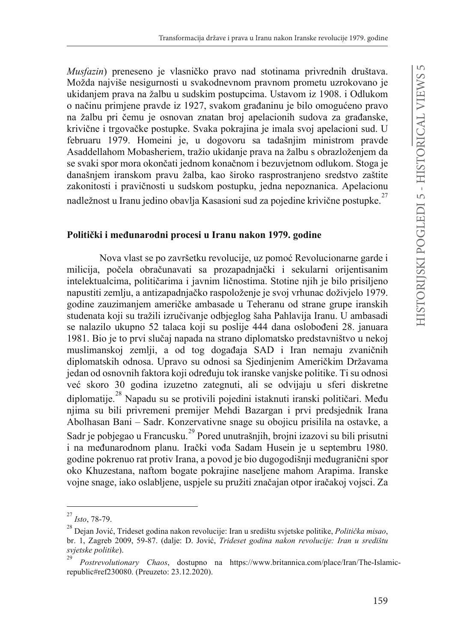Mustazin) preneseno je vlasničko pravo nad stotinama privrednih društava. Možda najviše nesigurnosti u svakodnevnom pravnom prometu uzrokovano je ukidanjem prava na žalbu u sudskim postupcima. Ustavom iz 1908. i Odlukom o načinu primjene pravde iz 1927, svakom građaninu je bilo omogućeno pravo na žalbu pri čemu je osnovan znatan broj apelacionih sudova za građanske. krivične i trgovačke postupke. Svaka pokrajina je imala svoj apelacioni sud. U februaru 1979. Homeini je, u dogovoru sa tadašnjim ministrom pravde Asaddellahom Mobasheriem, tražio ukidanje prava na žalbu s obrazloženjem da se svaki spor mora okončati jednom konačnom i bezuvjetnom odlukom. Stoga je današnjem iranskom pravu žalba, kao široko rasprostranjeno sredstvo zaštite zakonitosti i pravičnosti u sudskom postupku, jedna nepoznanica. Apelacionu nadležnost u Iranu jedino obavlja Kasasioni sud za pojedine krivične nostunke.<sup>27</sup>

#### Politički i međunarodni procesi u Iranu nakon 1979. godine

Nova vlast se po završetku revolucije, uz pomoć Revolucionarne garde i milicija, počela obračunavati sa prozapadnjački i sekularni orijentisanim intelektualcima, političarima i javnim ličnostima. Stotine njih je bilo prisiljeno napustiti zemlju, a antizapadniačko raspoloženie je svoj vrhunac doživjelo 1979. godine zauzimanjem američke ambasade u Teheranu od strane grupe iranskih studenata koji su tražili izručivanje odbjeglog šaha Pahlavija Iranu. U ambasadi se nalazilo ukupno 52 talaca koji su poslije 444 dana oslobođeni 28. januara 1981. Bio je to prvi slučaj napada na strano diplomatsko predstavništvo u nekoj muslimanskoj zemlji, a od tog događaja SAD i Iran nemaju zvaničnih diplomatskih odnosa. Upravo su odnosi sa Sjedinjenim Američkim Državama jedan od osnovnih faktora koji određuju tok iranske vanjske politike. Ti su odnosi već skoro 30 godina izuzetno zategnuti, ali se odvijaju u sferi diskretne diplomatije.<sup>28</sup> Napadu su se protivili pojedini istaknuti iranski političari. Među njima su bili privremeni premijer Mehdi Bazargan i prvi predsjednik Irana Abolhasan Bani - Sadr. Konzervativne snage su obojicu prisilila na ostavke, a Sadr je pobjegao u Francusku.<sup>29</sup> Pored unutrašnjih, brojni izazovi su bili prisutni i na međunarodnom planu. Irački vođa Sadam Husein je u septembru 1980. godine pokrenuo rat protiv Irana, a povod je bio dugogodišnji međugranični spor oko Khuzestana, naftom bogate pokrajine naseljene mahom Arapima. Iranske vojne snage, iako oslabljene, uspjele su pružiti značajan otpor iračakoj vojsci. Za

<sup>27</sup> Isto, 78-79.

<sup>&</sup>lt;sup>28</sup> Deian Jović. Trideset godina nakon revolucije: Iran u središtu svjetske politike, Politička misao, br. 1, Zagreb 2009, 59-87. (dalje: D. Jović, Trideset godina nakon revolucije: Iran u središtu svjetske politike).

Postrevolutionary Chaos, dostupno na https://www.britannica.com/place/Iran/The-Islamicrepublic#ref230080. (Preuzeto: 23.12.2020).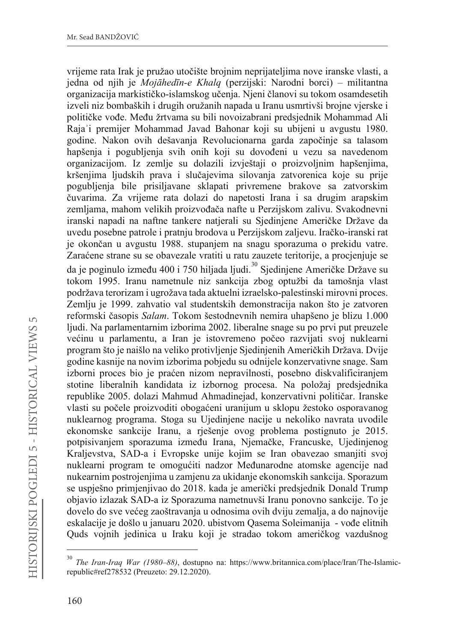vrijeme rata Irak je pružao utočište brojnim neprijateljima nove iranske vlasti, a jedna od njih je *Mojāhedīn-e Khalq* (perzijski: Narodni borci) – militantna organizacija markističko-islamskog učenja. Njeni članovi su tokom osamdesetih izveli niz bombaških i drugih oružanih napada u Iranu usmrtivši brojne vjerske i političke vođe. Među žrtvama su bili novoizabrani predsiednik Mohammad Ali Raja'i premijer Mohammad Javad Bahonar koji su ubijeni u avgustu 1980. godine. Nakon ovih dešavanja Revolucionarna garda započinje sa talasom hapšenja i pogubljenja svih onih koji su dovođeni u vezu sa navedenom organizacijom. Iz zemlje su dolazili izvještaji o proizvoljnim hapšenjima, kršenjima ljudskih prava i slučajevima silovanja zatvorenica koje su prije pogubljenja bile prisiljavane sklapati privremene brakove sa zatvorskim čuvarima. Za vrijeme rata dolazi do napetosti Irana i sa drugim arapskim zemliama, mahom velikih proizvođača nafte u Perzijskom zalivu. Svakodnevni iranski napadi na naftne tankere natjerali su Sjedinjene Američke Države da uvedu posebne patrole i pratnju brodova u Perzijskom zaljevu. Iračko-iranski rat je okončan u avgustu 1988. stupanjem na snagu sporazuma o prekidu vatre. Zaraćene strane su se obavezale vratiti u ratu zauzete teritorije, a procjenjuje se da je poginulo između 400 i 750 hiljada ljudi.<sup>30</sup> Sjedinjene Američke Države su tokom 1995. Iranu nametnule niz sankcija zbog optužbi da tamošnja vlast podržava terorizam i ugrožava tada aktuelni izraelsko-palestinski mirovni proces. Zemlju je 1999. zahvatio val studentskih demonstracija nakon što je zatvoren reformski časopis Salam. Tokom šestodnevnih nemira uhapšeno je blizu 1.000 ljudi. Na parlamentarnim izborima 2002. liberalne snage su po prvi put preuzele većinu u parlamentu, a Iran je istovremeno počeo razvijati svoj nuklearni program što je naišlo na veliko protivljenje Sjedinjenih Američkih Država. Dvije godine kasnije na novim izborima pobjedu su odnijele konzervativne snage. Sam izborni proces bio je praćen nizom nepravilnosti, posebno diskvalificiranjem stotine liberalnih kandidata iz izbornog procesa. Na položaj predsjednika republike 2005. dolazi Mahmud Ahmadinejad, konzervativni političar. Iranske vlasti su počele proizvoditi obogaćeni uranijum u sklopu žestoko osporavanog nuklearnog programa. Stoga su Ujedinjene nacije u nekoliko navrata uvodile ekonomske sankcije Iranu, a rješenje ovog problema postignuto je 2015. potpisivanjem sporazuma između Irana, Njemačke, Francuske, Ujedinjenog Kraljevstva, SAD-a i Evropske unije kojim se Iran obavezao smanjiti svoj nuklearni program te omogućiti nadzor Međunarodne atomske agencije nad nukearnim postrojenjima u zamjenu za ukidanje ekonomskih sankcija. Sporazum se uspješno primjenjivao do 2018. kada je američki predsjednik Donald Trump objavio izlazak SAD-a iz Sporazuma nametnuvši Iranu ponovno sankcije. To je dovelo do sve većeg zaoštravanja u odnosima ovih dviju zemalja, a do najnovije eskalacije je došlo u januaru 2020. ubistvom Qasema Soleimanija - vođe elitnih Quds vojnih jedinica u Iraku koji je stradao tokom američkog vazdušnog

<sup>30</sup> *The Iran-Iraq War (1980–88)*, dostupno na: https://www.britannica.com/place/Iran/The-Islamicrepublic#ref278532 (Preuzeto: 29.12.2020).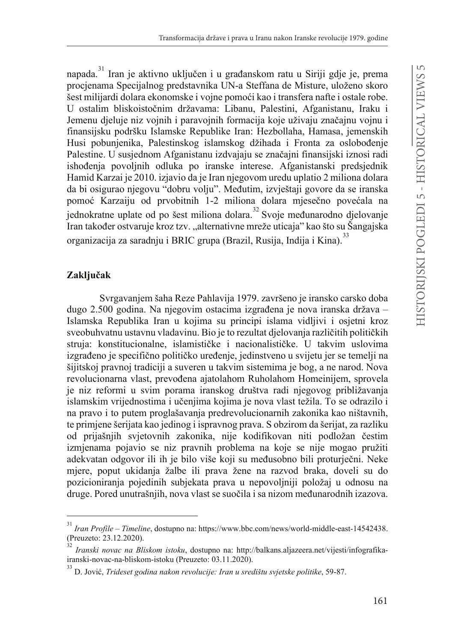napada.<sup>31</sup> Iran je aktivno uključen i u građanskom ratu u Siriji gdje je, prema procjenama Specijalnog predstavnika UN-a Steffana de Misture, uloženo skoro šest milijardi dolara ekonomske i vojne pomoći kao i transfera nafte i ostale robe. U ostalim bliskoistočnim državama: Libanu, Palestini, Afganistanu, Iraku i Jemenu dieluje niz vojnih i paravojnih formacija koje uživaju značajnu vojnu i finansijsku podršku Islamske Republike Iran: Hezbollaha, Hamasa, jemenskih Husi pobunjenika, Palestinskog islamskog džihada i Fronta za oslobođenje Palestine. U susjednom Afganistanu izdvajaju se značajni finansijski iznosi radi ishođenja povolinih odluka po iranske interese. Afganistanski predsjednik Hamid Karzai je 2010. izjavio da je Iran njegovom uredu uplatio 2 miliona dolara da bi osigurao njegovu "dobru volju". Međutim, izvještaji govore da se iranska pomoć Karzaiju od prvobitnih 1-2 miliona dolara mjesečno povećala na jednokratne uplate od po šest miliona dolara.<sup>32</sup> Svoje međunarodno dielovanie Iran također ostvaruje kroz tzv. "alternativne mreže uticaja" kao što su Šangajska organizacija za saradnju i BRIC grupa (Brazil, Rusija, Indija i Kina).<sup>33</sup>

## Zaključak

Svrgavanjem šaha Reze Pahlavija 1979. završeno je iransko carsko doba dugo 2.500 godina. Na njegovim ostacima izgrađena je nova iranska država – Islamska Republika Iran u kojima su principi islama vidljivi i osjetni kroz sveobuhvatnu ustavnu vladavinu. Bio je to rezultat djelovanja različitih političkih struja: konstitucionalne, islamističke i nacionalističke. U takvim uslovima izgrađeno je specifično političko uređenje, jedinstveno u svijetu jer se temelji na šijitskoj pravnoj tradiciji a suveren u takvim sistemima je bog, a ne narod. Nova revolucionarna vlast, prevođena ajatolahom Ruholahom Homeinijem, sprovela je niz reformi u svim porama iranskog društva radi njegovog približavanja islamskim vrijednostima i učenjima kojima je nova vlast težila. To se odrazilo i na pravo i to putem proglašavanja predrevolucionarnih zakonika kao ništavnih, te primjene šerijata kao jedinog i ispravnog prava. S obzirom da šerijat, za razliku od prijašnjih svjetovnih zakonika, nije kodifikovan niti podložan čestim izmjenama pojavio se niz pravnih problema na koje se nije mogao pružiti adekvatan odgovor ili ih je bilo više koji su međusobno bili proturječni. Neke mjere, poput ukidanja žalbe ili prava žene na razvod braka, doveli su do pozicioniranja pojedinih subjekata prava u nepovoljniji položaj u odnosu na druge. Pored unutrašnjih, nova vlast se suočila i sa nizom međunarodnih izazova.

<sup>31</sup> *Iran Profile – Timeline*, dostupno na: https://www.bbc.com/news/world-middle-east-14542438. (Preuzeto: 23.12.2020).

<sup>32</sup> *Iranski novac na Bliskom istoku*, dostupno na: http://balkans.aljazeera.net/vijesti/infografikairanski-novac-na-bliskom-istoku (Preuzeto: 03.11.2020).

<sup>&</sup>lt;sup>33</sup> D. Jović, *Trideset godina nakon revolucije: Iran u središtu svjetske politike*, 59-87.